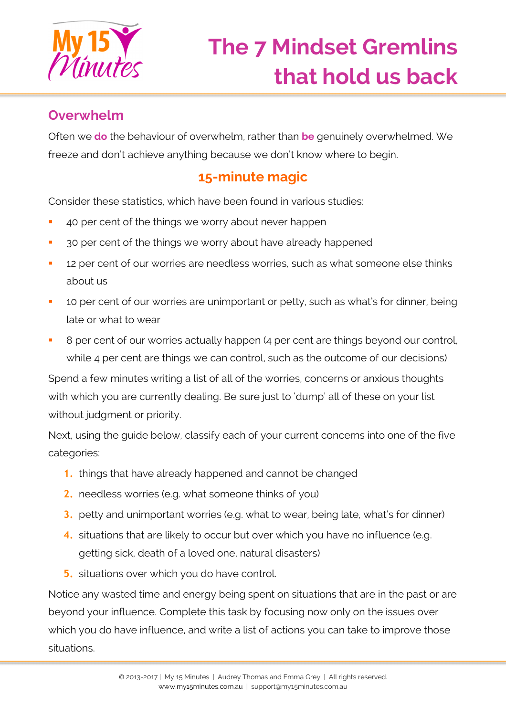

## **Overwhelm**

Often we **do** the behaviour of overwhelm, rather than **be** genuinely overwhelmed. We freeze and don't achieve anything because we don't know where to begin.

## **15-minute magic**

Consider these statistics, which have been found in various studies:

- 40 per cent of the things we worry about never happen
- <sup>3</sup> 30 per cent of the things we worry about have already happened
- **12 per cent of our worries are needless worries, such as what someone else thinks** about us
- **10 per cent of our worries are unimportant or petty, such as what's for dinner, being** late or what to wear
- B per cent of our worries actually happen (4 per cent are things beyond our control, while 4 per cent are things we can control, such as the outcome of our decisions)

Spend a few minutes writing a list of all of the worries, concerns or anxious thoughts with which you are currently dealing. Be sure just to 'dump' all of these on your list without judgment or priority.

Next, using the guide below, classify each of your current concerns into one of the five categories:

- **1.** things that have already happened and cannot be changed
- **2.** needless worries (e.g. what someone thinks of you)
- **3.** petty and unimportant worries (e.g. what to wear, being late, what's for dinner)
- **4.** situations that are likely to occur but over which you have no influence (e.g. getting sick, death of a loved one, natural disasters)
- **5.** situations over which you do have control.

Notice any wasted time and energy being spent on situations that are in the past or are beyond your influence. Complete this task by focusing now only on the issues over which you do have influence, and write a list of actions you can take to improve those situations.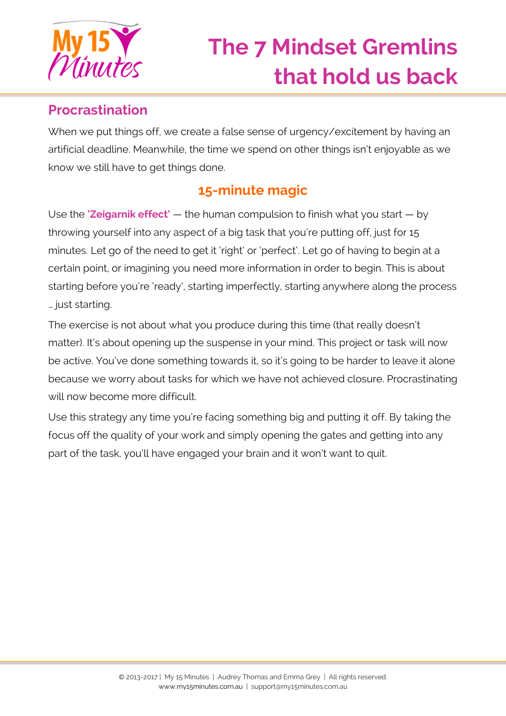

## **Procrastination**

When we put things off, we create a false sense of urgency/excitement by having an artificial deadline. Meanwhile, the time we spend on other things isn't enjoyable as we know we still have to get things done.

### **15-minute magic**

Use the **'Zeigarnik effect'** — the human compulsion to finish what you start — by throwing yourself into any aspect of a big task that you're putting off, just for 15 minutes. Let go of the need to get it 'right' or 'perfect'. Let go of having to begin at a certain point, or imagining you need more information in order to begin. This is about starting before you're 'ready', starting imperfectly, starting anywhere along the process … just starting.

The exercise is not about what you produce during this time (that really doesn't matter). It's about opening up the suspense in your mind. This project or task will now be active. You've done something towards it, so it's going to be harder to leave it alone because we worry about tasks for which we have not achieved closure. Procrastinating will now become more difficult.

Use this strategy any time you're facing something big and putting it off. By taking the focus off the quality of your work and simply opening the gates and getting into any part of the task, you'll have engaged your brain and it won't want to quit.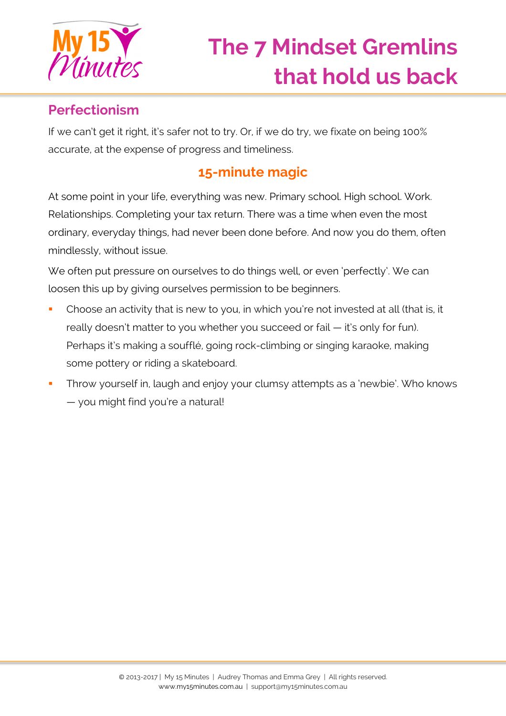

## **Perfectionism**

If we can't get it right, it's safer not to try. Or, if we do try, we fixate on being 100% accurate, at the expense of progress and timeliness.

## **15-minute magic**

At some point in your life, everything was new. Primary school. High school. Work. Relationships. Completing your tax return. There was a time when even the most ordinary, everyday things, had never been done before. And now you do them, often mindlessly, without issue.

We often put pressure on ourselves to do things well, or even 'perfectly'. We can loosen this up by giving ourselves permission to be beginners.

- Choose an activity that is new to you, in which you're not invested at all (that is, it really doesn't matter to you whether you succeed or fail — it's only for fun). Perhaps it's making a soufflé, going rock-climbing or singing karaoke, making some pottery or riding a skateboard.
- Throw yourself in, laugh and enjoy your clumsy attempts as a 'newbie'. Who knows — you might find you're a natural!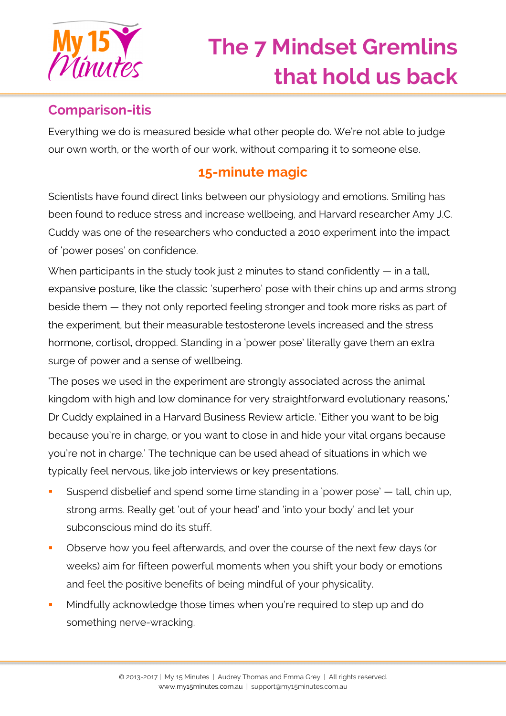

## **Comparison-itis**

Everything we do is measured beside what other people do. We're not able to judge our own worth, or the worth of our work, without comparing it to someone else.

# **15-minute magic**

Scientists have found direct links between our physiology and emotions. Smiling has been found to reduce stress and increase wellbeing, and Harvard researcher Amy J.C. Cuddy was one of the researchers who conducted a 2010 experiment into the impact of 'power poses' on confidence.

When participants in the study took just 2 minutes to stand confidently — in a tall, expansive posture, like the classic 'superhero' pose with their chins up and arms strong beside them — they not only reported feeling stronger and took more risks as part of the experiment, but their measurable testosterone levels increased and the stress hormone, cortisol, dropped. Standing in a 'power pose' literally gave them an extra surge of power and a sense of wellbeing.

'The poses we used in the experiment are strongly associated across the animal kingdom with high and low dominance for very straightforward evolutionary reasons,' Dr Cuddy explained in a Harvard Business Review article. 'Either you want to be big because you're in charge, or you want to close in and hide your vital organs because you're not in charge.' The technique can be used ahead of situations in which we typically feel nervous, like job interviews or key presentations.

- Suspend disbelief and spend some time standing in a 'power pose' tall, chin up, strong arms. Really get 'out of your head' and 'into your body' and let your subconscious mind do its stuff.
- Observe how you feel afterwards, and over the course of the next few days (or weeks) aim for fifteen powerful moments when you shift your body or emotions and feel the positive benefits of being mindful of your physicality.
- **Mindfully acknowledge those times when you're required to step up and do** something nerve-wracking.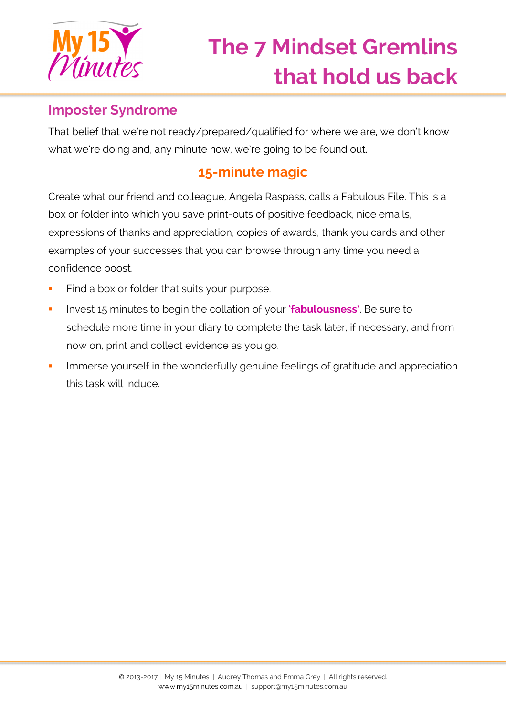

#### **Imposter Syndrome**

That belief that we're not ready/prepared/qualified for where we are, we don't know what we're doing and, any minute now, we're going to be found out.

# **15-minute magic**

Create what our friend and colleague, Angela Raspass, calls a Fabulous File. This is a box or folder into which you save print-outs of positive feedback, nice emails, expressions of thanks and appreciation, copies of awards, thank you cards and other examples of your successes that you can browse through any time you need a confidence boost.

- Find a box or folder that suits your purpose.
- **Invest 15 minutes to begin the collation of your 'fabulousness'**. Be sure to schedule more time in your diary to complete the task later, if necessary, and from now on, print and collect evidence as you go.
- **IMMERTH IMMERG** in the wonderfully genuine feelings of gratitude and appreciation this task will induce.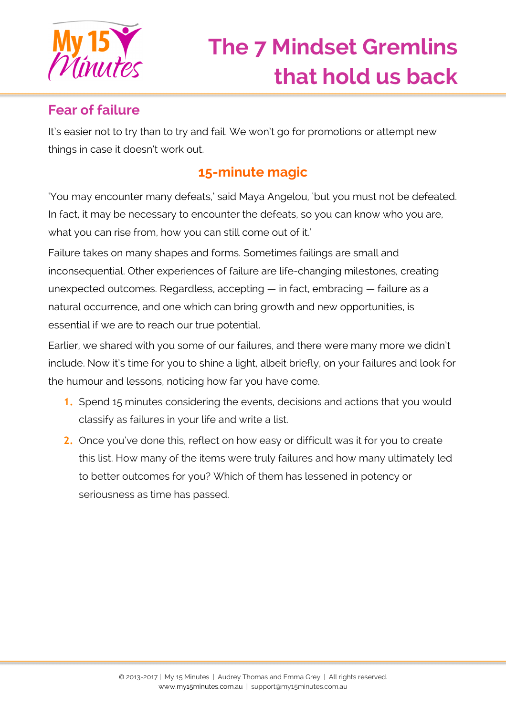

## **Fear of failure**

It's easier not to try than to try and fail. We won't go for promotions or attempt new things in case it doesn't work out.

# **15-minute magic**

'You may encounter many defeats,' said Maya Angelou, 'but you must not be defeated. In fact, it may be necessary to encounter the defeats, so you can know who you are, what you can rise from, how you can still come out of it.'

Failure takes on many shapes and forms. Sometimes failings are small and inconsequential. Other experiences of failure are life-changing milestones, creating unexpected outcomes. Regardless, accepting — in fact, embracing — failure as a natural occurrence, and one which can bring growth and new opportunities, is essential if we are to reach our true potential.

Earlier, we shared with you some of our failures, and there were many more we didn't include. Now it's time for you to shine a light, albeit briefly, on your failures and look for the humour and lessons, noticing how far you have come.

- **1.** Spend 15 minutes considering the events, decisions and actions that you would classify as failures in your life and write a list.
- **2.** Once you've done this, reflect on how easy or difficult was it for you to create this list. How many of the items were truly failures and how many ultimately led to better outcomes for you? Which of them has lessened in potency or seriousness as time has passed.